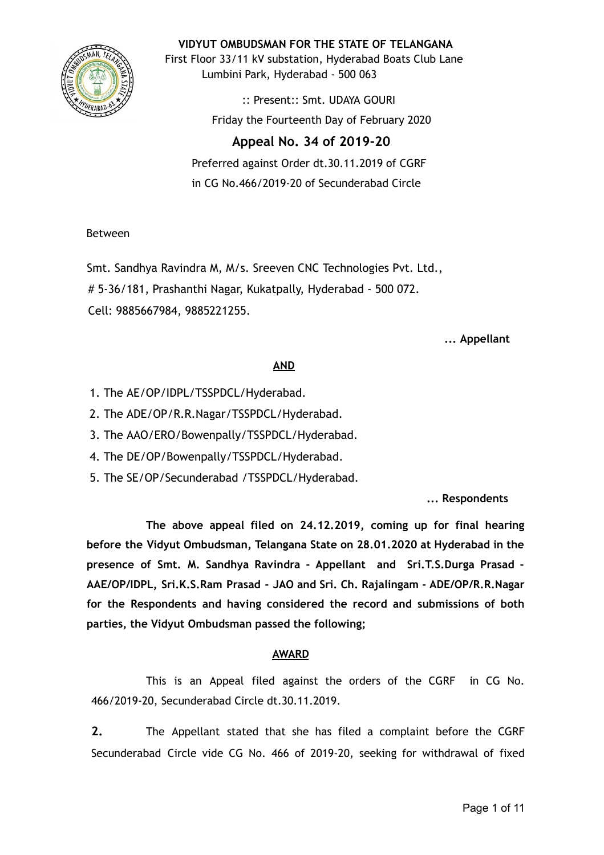

**VIDYUT OMBUDSMAN FOR THE STATE OF TELANGANA**

First Floor 33/11 kV substation, Hyderabad Boats Club Lane Lumbini Park, Hyderabad - 500 063

> :: Present:: Smt. UDAYA GOURI Friday the Fourteenth Day of February 2020

# **Appeal No. 34 of 2019-20**

Preferred against Order dt.30.11.2019 of CGRF in CG No.466/2019-20 of Secunderabad Circle

# Between

Smt. Sandhya Ravindra M, M/s. Sreeven CNC Technologies Pvt. Ltd., # 5-36/181, Prashanthi Nagar, Kukatpally, Hyderabad - 500 072. Cell: 9885667984, 9885221255.

### **... Appellant**

# **AND**

- 1. The AE/OP/IDPL/TSSPDCL/Hyderabad.
- 2. The ADE/OP/R.R.Nagar/TSSPDCL/Hyderabad.
- 3. The AAO/ERO/Bowenpally/TSSPDCL/Hyderabad.
- 4. The DE/OP/Bowenpally/TSSPDCL/Hyderabad.
- 5. The SE/OP/Secunderabad /TSSPDCL/Hyderabad.

**... Respondents**

**The above appeal filed on 24.12.2019, coming up for final hearing before the Vidyut Ombudsman, Telangana State on 28.01.2020 at Hyderabad in the presence of Smt. M. Sandhya Ravindra - Appellant and Sri.T.S.Durga Prasad - AAE/OP/IDPL, Sri.K.S.Ram Prasad - JAO and Sri. Ch. Rajalingam - ADE/OP/R.R.Nagar for the Respondents and having considered the record and submissions of both parties, the Vidyut Ombudsman passed the following;**

# **AWARD**

This is an Appeal filed against the orders of the CGRF in CG No. 466/2019-20, Secunderabad Circle dt.30.11.2019.

**2.** The Appellant stated that she has filed a complaint before the CGRF Secunderabad Circle vide CG No. 466 of 2019-20, seeking for withdrawal of fixed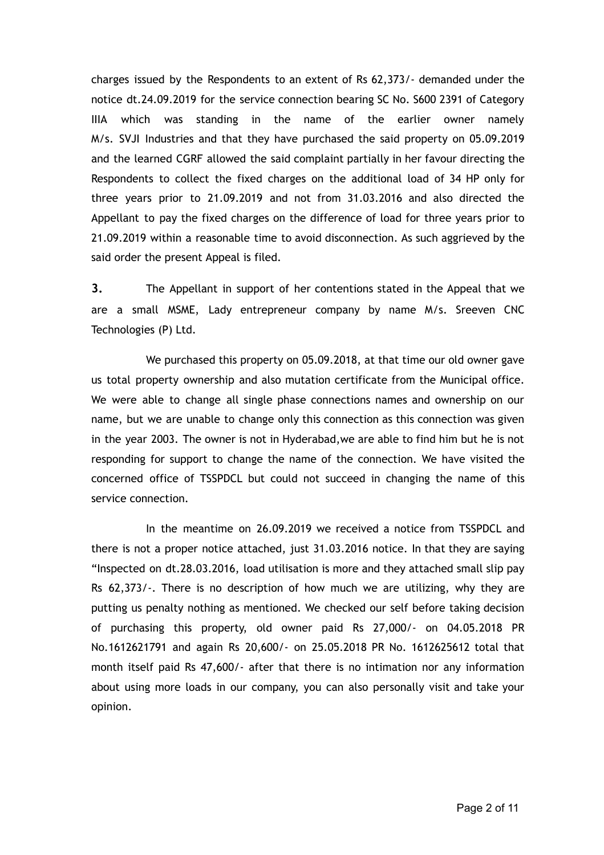charges issued by the Respondents to an extent of Rs 62,373/- demanded under the notice dt.24.09.2019 for the service connection bearing SC No. S600 2391 of Category IIIA which was standing in the name of the earlier owner namely M/s. SVJI Industries and that they have purchased the said property on 05.09.2019 and the learned CGRF allowed the said complaint partially in her favour directing the Respondents to collect the fixed charges on the additional load of 34 HP only for three years prior to 21.09.2019 and not from 31.03.2016 and also directed the Appellant to pay the fixed charges on the difference of load for three years prior to 21.09.2019 within a reasonable time to avoid disconnection. As such aggrieved by the said order the present Appeal is filed.

**3.** The Appellant in support of her contentions stated in the Appeal that we are a small MSME, Lady entrepreneur company by name M/s. Sreeven CNC Technologies (P) Ltd.

We purchased this property on 05.09.2018, at that time our old owner gave us total property ownership and also mutation certificate from the Municipal office. We were able to change all single phase connections names and ownership on our name, but we are unable to change only this connection as this connection was given in the year 2003. The owner is not in Hyderabad,we are able to find him but he is not responding for support to change the name of the connection. We have visited the concerned office of TSSPDCL but could not succeed in changing the name of this service connection.

In the meantime on 26.09.2019 we received a notice from TSSPDCL and there is not a proper notice attached, just 31.03.2016 notice. In that they are saying "Inspected on dt.28.03.2016, load utilisation is more and they attached small slip pay Rs 62,373/-. There is no description of how much we are utilizing, why they are putting us penalty nothing as mentioned. We checked our self before taking decision of purchasing this property, old owner paid Rs 27,000/- on 04.05.2018 PR No.1612621791 and again Rs 20,600/- on 25.05.2018 PR No. 1612625612 total that month itself paid Rs 47,600/- after that there is no intimation nor any information about using more loads in our company, you can also personally visit and take your opinion.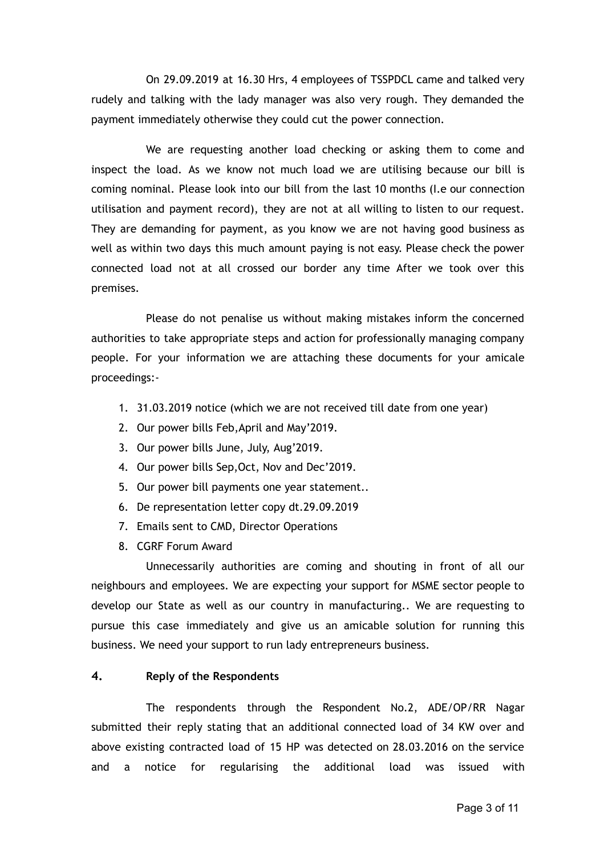On 29.09.2019 at 16.30 Hrs, 4 employees of TSSPDCL came and talked very rudely and talking with the lady manager was also very rough. They demanded the payment immediately otherwise they could cut the power connection.

We are requesting another load checking or asking them to come and inspect the load. As we know not much load we are utilising because our bill is coming nominal. Please look into our bill from the last 10 months (I.e our connection utilisation and payment record), they are not at all willing to listen to our request. They are demanding for payment, as you know we are not having good business as well as within two days this much amount paying is not easy. Please check the power connected load not at all crossed our border any time After we took over this premises.

Please do not penalise us without making mistakes inform the concerned authorities to take appropriate steps and action for professionally managing company people. For your information we are attaching these documents for your amicale proceedings:-

- 1. 31.03.2019 notice (which we are not received till date from one year)
- 2. Our power bills Feb,April and May'2019.
- 3. Our power bills June, July, Aug'2019.
- 4. Our power bills Sep,Oct, Nov and Dec'2019.
- 5. Our power bill payments one year statement..
- 6. De representation letter copy dt.29.09.2019
- 7. Emails sent to CMD, Director Operations
- 8. CGRF Forum Award

Unnecessarily authorities are coming and shouting in front of all our neighbours and employees. We are expecting your support for MSME sector people to develop our State as well as our country in manufacturing.. We are requesting to pursue this case immediately and give us an amicable solution for running this business. We need your support to run lady entrepreneurs business.

### **4. Reply of the Respondents**

The respondents through the Respondent No.2, ADE/OP/RR Nagar submitted their reply stating that an additional connected load of 34 KW over and above existing contracted load of 15 HP was detected on 28.03.2016 on the service and a notice for regularising the additional load was issued with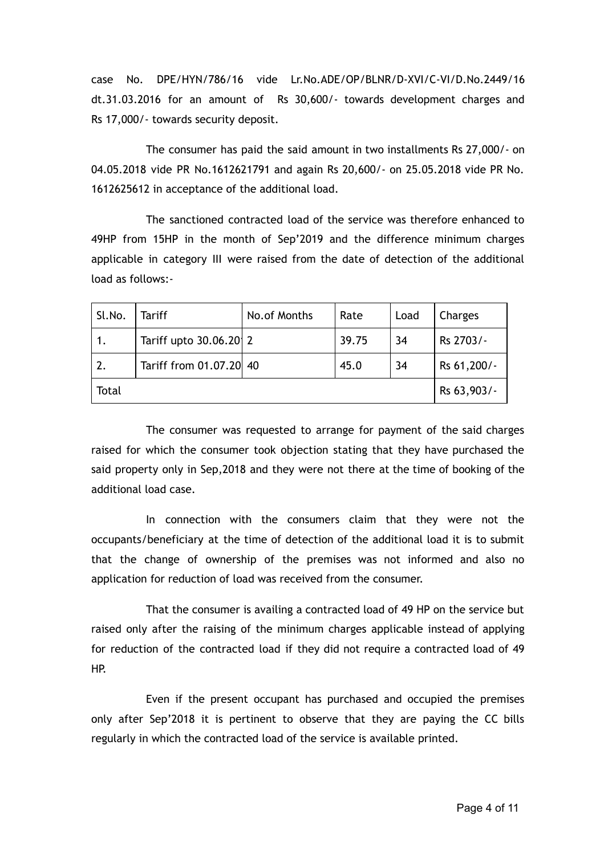case No. DPE/HYN/786/16 vide Lr.No.ADE/OP/BLNR/D-XVI/C-VI/D.No.2449/16 dt.31.03.2016 for an amount of Rs 30,600/- towards development charges and Rs 17,000/- towards security deposit.

The consumer has paid the said amount in two installments Rs 27,000/- on 04.05.2018 vide PR No.1612621791 and again Rs 20,600/- on 25.05.2018 vide PR No. 1612625612 in acceptance of the additional load.

The sanctioned contracted load of the service was therefore enhanced to 49HP from 15HP in the month of Sep'2019 and the difference minimum charges applicable in category III were raised from the date of detection of the additional load as follows:-

| Sl.No.           | <b>Tariff</b>           | No.of Months | Rate  | Load | Charges     |
|------------------|-------------------------|--------------|-------|------|-------------|
|                  | Tariff upto 30.06.20 2  |              | 39.75 | 34   | Rs 2703/-   |
| $\overline{2}$ . | Tariff from 01.07.20 40 |              | 45.0  | 34   | Rs 61,200/- |
| Total            |                         |              |       |      | Rs 63,903/- |

The consumer was requested to arrange for payment of the said charges raised for which the consumer took objection stating that they have purchased the said property only in Sep,2018 and they were not there at the time of booking of the additional load case.

In connection with the consumers claim that they were not the occupants/beneficiary at the time of detection of the additional load it is to submit that the change of ownership of the premises was not informed and also no application for reduction of load was received from the consumer.

That the consumer is availing a contracted load of 49 HP on the service but raised only after the raising of the minimum charges applicable instead of applying for reduction of the contracted load if they did not require a contracted load of 49 HP.

Even if the present occupant has purchased and occupied the premises only after Sep'2018 it is pertinent to observe that they are paying the CC bills regularly in which the contracted load of the service is available printed.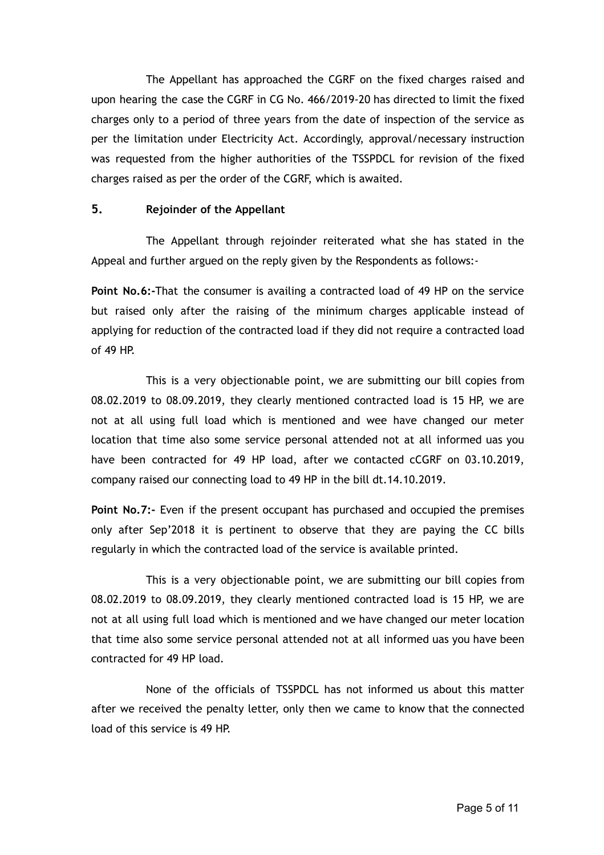The Appellant has approached the CGRF on the fixed charges raised and upon hearing the case the CGRF in CG No. 466/2019-20 has directed to limit the fixed charges only to a period of three years from the date of inspection of the service as per the limitation under Electricity Act. Accordingly, approval/necessary instruction was requested from the higher authorities of the TSSPDCL for revision of the fixed charges raised as per the order of the CGRF, which is awaited.

### **5. Rejoinder of the Appellant**

The Appellant through rejoinder reiterated what she has stated in the Appeal and further argued on the reply given by the Respondents as follows:-

**Point No.6:-**That the consumer is availing a contracted load of 49 HP on the service but raised only after the raising of the minimum charges applicable instead of applying for reduction of the contracted load if they did not require a contracted load of 49 HP.

This is a very objectionable point, we are submitting our bill copies from 08.02.2019 to 08.09.2019, they clearly mentioned contracted load is 15 HP, we are not at all using full load which is mentioned and wee have changed our meter location that time also some service personal attended not at all informed uas you have been contracted for 49 HP load, after we contacted cCGRF on 03.10.2019, company raised our connecting load to 49 HP in the bill dt.14.10.2019.

**Point No.7:-** Even if the present occupant has purchased and occupied the premises only after Sep'2018 it is pertinent to observe that they are paying the CC bills regularly in which the contracted load of the service is available printed.

This is a very objectionable point, we are submitting our bill copies from 08.02.2019 to 08.09.2019, they clearly mentioned contracted load is 15 HP, we are not at all using full load which is mentioned and we have changed our meter location that time also some service personal attended not at all informed uas you have been contracted for 49 HP load.

None of the officials of TSSPDCL has not informed us about this matter after we received the penalty letter, only then we came to know that the connected load of this service is 49 HP.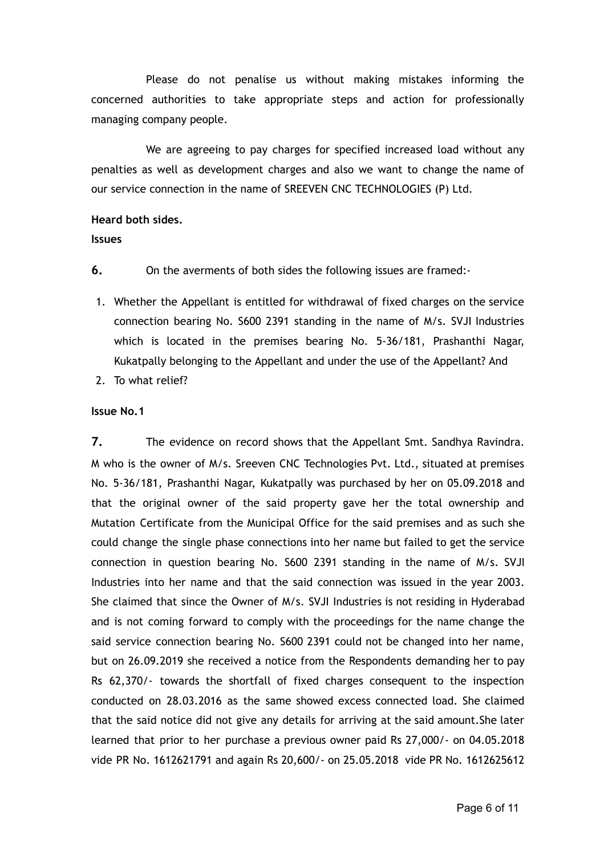Please do not penalise us without making mistakes informing the concerned authorities to take appropriate steps and action for professionally managing company people.

We are agreeing to pay charges for specified increased load without any penalties as well as development charges and also we want to change the name of our service connection in the name of SREEVEN CNC TECHNOLOGIES (P) Ltd.

### **Heard both sides.**

#### **Issues**

- **6.** On the averments of both sides the following issues are framed:-
- 1. Whether the Appellant is entitled for withdrawal of fixed charges on the service connection bearing No. S600 2391 standing in the name of M/s. SVJI Industries which is located in the premises bearing No. 5-36/181, Prashanthi Nagar, Kukatpally belonging to the Appellant and under the use of the Appellant? And
- 2. To what relief?

### **Issue No.1**

**7.** The evidence on record shows that the Appellant Smt. Sandhya Ravindra. M who is the owner of M/s. Sreeven CNC Technologies Pvt. Ltd., situated at premises No. 5-36/181, Prashanthi Nagar, Kukatpally was purchased by her on 05.09.2018 and that the original owner of the said property gave her the total ownership and Mutation Certificate from the Municipal Office for the said premises and as such she could change the single phase connections into her name but failed to get the service connection in question bearing No. S600 2391 standing in the name of M/s. SVJI Industries into her name and that the said connection was issued in the year 2003. She claimed that since the Owner of M/s. SVJI Industries is not residing in Hyderabad and is not coming forward to comply with the proceedings for the name change the said service connection bearing No. S600 2391 could not be changed into her name, but on 26.09.2019 she received a notice from the Respondents demanding her to pay Rs 62,370/- towards the shortfall of fixed charges consequent to the inspection conducted on 28.03.2016 as the same showed excess connected load. She claimed that the said notice did not give any details for arriving at the said amount.She later learned that prior to her purchase a previous owner paid Rs 27,000/- on 04.05.2018 vide PR No. 1612621791 and again Rs 20,600/- on 25.05.2018 vide PR No. 1612625612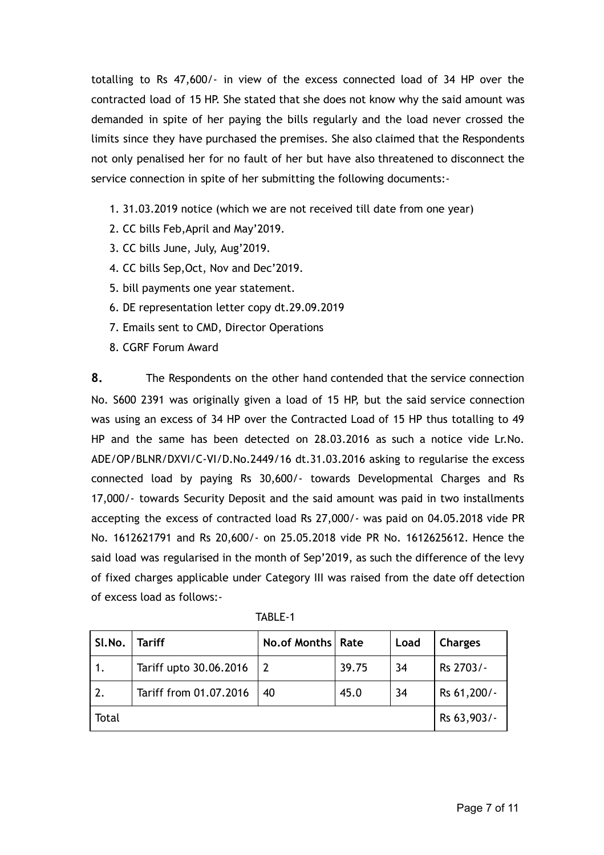totalling to Rs 47,600/- in view of the excess connected load of 34 HP over the contracted load of 15 HP. She stated that she does not know why the said amount was demanded in spite of her paying the bills regularly and the load never crossed the limits since they have purchased the premises. She also claimed that the Respondents not only penalised her for no fault of her but have also threatened to disconnect the service connection in spite of her submitting the following documents:-

- 1. 31.03.2019 notice (which we are not received till date from one year)
- 2. CC bills Feb,April and May'2019.
- 3. CC bills June, July, Aug'2019.
- 4. CC bills Sep,Oct, Nov and Dec'2019.
- 5. bill payments one year statement.
- 6. DE representation letter copy dt.29.09.2019
- 7. Emails sent to CMD, Director Operations
- 8. CGRF Forum Award

**8.** The Respondents on the other hand contended that the service connection No. S600 2391 was originally given a load of 15 HP, but the said service connection was using an excess of 34 HP over the Contracted Load of 15 HP thus totalling to 49 HP and the same has been detected on 28.03.2016 as such a notice vide Lr.No. ADE/OP/BLNR/DXVI/C-VI/D.No.2449/16 dt.31.03.2016 asking to regularise the excess connected load by paying Rs 30,600/- towards Developmental Charges and Rs 17,000/- towards Security Deposit and the said amount was paid in two installments accepting the excess of contracted load Rs 27,000/- was paid on 04.05.2018 vide PR No. 1612621791 and Rs 20,600/- on 25.05.2018 vide PR No. 1612625612. Hence the said load was regularised in the month of Sep'2019, as such the difference of the levy of fixed charges applicable under Category III was raised from the date off detection of excess load as follows:-

| SI.No.           | <b>Tariff</b>          | No.of Months   Rate |       | Load | <b>Charges</b> |
|------------------|------------------------|---------------------|-------|------|----------------|
|                  | Tariff upto 30.06.2016 |                     | 39.75 | 34   | Rs 2703/-      |
| $\overline{2}$ . | Tariff from 01.07.2016 | 40                  | 45.0  | 34   | Rs 61,200/-    |
| Total            |                        |                     |       |      | Rs 63,903/-    |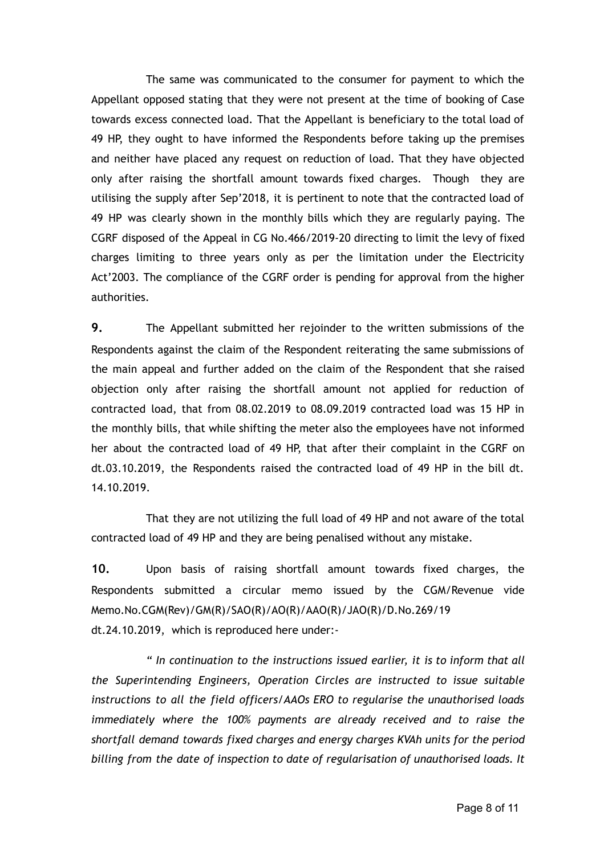The same was communicated to the consumer for payment to which the Appellant opposed stating that they were not present at the time of booking of Case towards excess connected load. That the Appellant is beneficiary to the total load of 49 HP, they ought to have informed the Respondents before taking up the premises and neither have placed any request on reduction of load. That they have objected only after raising the shortfall amount towards fixed charges. Though they are utilising the supply after Sep'2018, it is pertinent to note that the contracted load of 49 HP was clearly shown in the monthly bills which they are regularly paying. The CGRF disposed of the Appeal in CG No.466/2019-20 directing to limit the levy of fixed charges limiting to three years only as per the limitation under the Electricity Act'2003. The compliance of the CGRF order is pending for approval from the higher authorities.

**9.** The Appellant submitted her rejoinder to the written submissions of the Respondents against the claim of the Respondent reiterating the same submissions of the main appeal and further added on the claim of the Respondent that she raised objection only after raising the shortfall amount not applied for reduction of contracted load, that from 08.02.2019 to 08.09.2019 contracted load was 15 HP in the monthly bills, that while shifting the meter also the employees have not informed her about the contracted load of 49 HP, that after their complaint in the CGRF on dt.03.10.2019, the Respondents raised the contracted load of 49 HP in the bill dt. 14.10.2019.

That they are not utilizing the full load of 49 HP and not aware of the total contracted load of 49 HP and they are being penalised without any mistake.

**10.** Upon basis of raising shortfall amount towards fixed charges, the Respondents submitted a circular memo issued by the CGM/Revenue vide Memo.No.CGM(Rev)/GM(R)/SAO(R)/AO(R)/AAO(R)/JAO(R)/D.No.269/19 dt.24.10.2019, which is reproduced here under:-

*" In continuation to the instructions issued earlier, it is to inform that all the Superintending Engineers, Operation Circles are instructed to issue suitable instructions to all the field officers/AAOs ERO to regularise the unauthorised loads immediately where the 100% payments are already received and to raise the shortfall demand towards fixed charges and energy charges KVAh units for the period billing from the date of inspection to date of regularisation of unauthorised loads. It*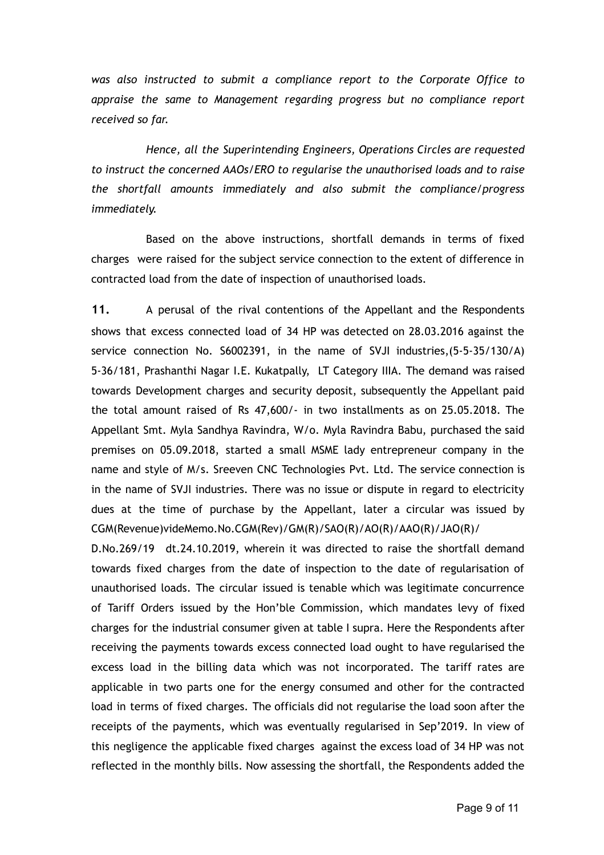*was also instructed to submit a compliance report to the Corporate Office to appraise the same to Management regarding progress but no compliance report received so far.*

*Hence, all the Superintending Engineers, Operations Circles are requested to instruct the concerned AAOs/ERO to regularise the unauthorised loads and to raise the shortfall amounts immediately and also submit the compliance/progress immediately.*

Based on the above instructions, shortfall demands in terms of fixed charges were raised for the subject service connection to the extent of difference in contracted load from the date of inspection of unauthorised loads.

**11.** A perusal of the rival contentions of the Appellant and the Respondents shows that excess connected load of 34 HP was detected on 28.03.2016 against the service connection No. S6002391, in the name of SVJI industries,(5-5-35/130/A) 5-36/181, Prashanthi Nagar I.E. Kukatpally, LT Category IIIA. The demand was raised towards Development charges and security deposit, subsequently the Appellant paid the total amount raised of Rs 47,600/- in two installments as on 25.05.2018. The Appellant Smt. Myla Sandhya Ravindra, W/o. Myla Ravindra Babu, purchased the said premises on 05.09.2018, started a small MSME lady entrepreneur company in the name and style of M/s. Sreeven CNC Technologies Pvt. Ltd. The service connection is in the name of SVJI industries. There was no issue or dispute in regard to electricity dues at the time of purchase by the Appellant, later a circular was issued by CGM(Revenue)videMemo.No.CGM(Rev)/GM(R)/SAO(R)/AO(R)/AAO(R)/JAO(R)/

D.No.269/19 dt.24.10.2019, wherein it was directed to raise the shortfall demand towards fixed charges from the date of inspection to the date of regularisation of unauthorised loads. The circular issued is tenable which was legitimate concurrence of Tariff Orders issued by the Hon'ble Commission, which mandates levy of fixed charges for the industrial consumer given at table I supra. Here the Respondents after receiving the payments towards excess connected load ought to have regularised the excess load in the billing data which was not incorporated. The tariff rates are applicable in two parts one for the energy consumed and other for the contracted load in terms of fixed charges. The officials did not regularise the load soon after the receipts of the payments, which was eventually regularised in Sep'2019. In view of this negligence the applicable fixed charges against the excess load of 34 HP was not reflected in the monthly bills. Now assessing the shortfall, the Respondents added the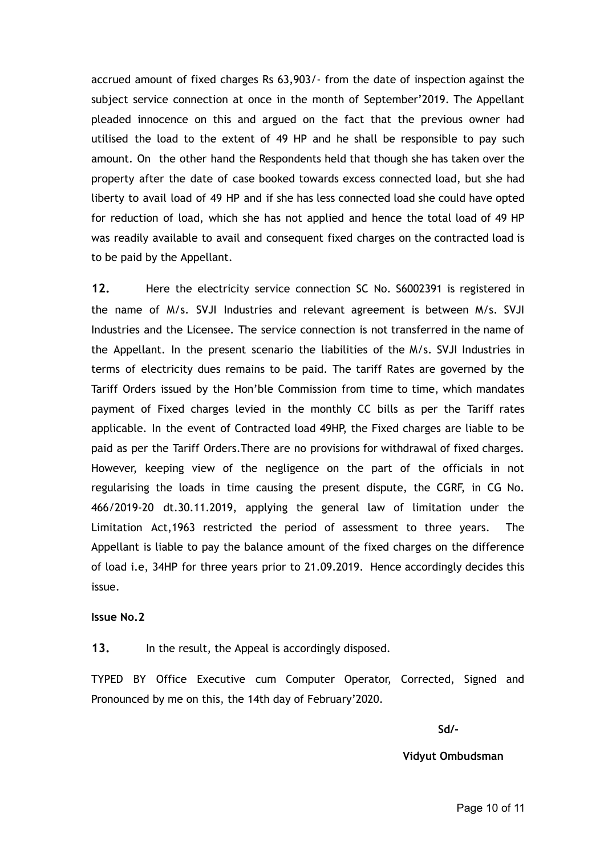accrued amount of fixed charges Rs 63,903/- from the date of inspection against the subject service connection at once in the month of September'2019. The Appellant pleaded innocence on this and argued on the fact that the previous owner had utilised the load to the extent of 49 HP and he shall be responsible to pay such amount. On the other hand the Respondents held that though she has taken over the property after the date of case booked towards excess connected load, but she had liberty to avail load of 49 HP and if she has less connected load she could have opted for reduction of load, which she has not applied and hence the total load of 49 HP was readily available to avail and consequent fixed charges on the contracted load is to be paid by the Appellant.

**12.** Here the electricity service connection SC No. S6002391 is registered in the name of M/s. SVJI Industries and relevant agreement is between M/s. SVJI Industries and the Licensee. The service connection is not transferred in the name of the Appellant. In the present scenario the liabilities of the M/s. SVJI Industries in terms of electricity dues remains to be paid. The tariff Rates are governed by the Tariff Orders issued by the Hon'ble Commission from time to time, which mandates payment of Fixed charges levied in the monthly CC bills as per the Tariff rates applicable. In the event of Contracted load 49HP, the Fixed charges are liable to be paid as per the Tariff Orders.There are no provisions for withdrawal of fixed charges. However, keeping view of the negligence on the part of the officials in not regularising the loads in time causing the present dispute, the CGRF, in CG No. 466/2019-20 dt.30.11.2019, applying the general law of limitation under the Limitation Act,1963 restricted the period of assessment to three years. The Appellant is liable to pay the balance amount of the fixed charges on the difference of load i.e, 34HP for three years prior to 21.09.2019. Hence accordingly decides this issue.

### **Issue No.2**

**13.** In the result, the Appeal is accordingly disposed.

TYPED BY Office Executive cum Computer Operator, Corrected, Signed and Pronounced by me on this, the 14th day of February'2020.

**Sd/-**

**Vidyut Ombudsman**